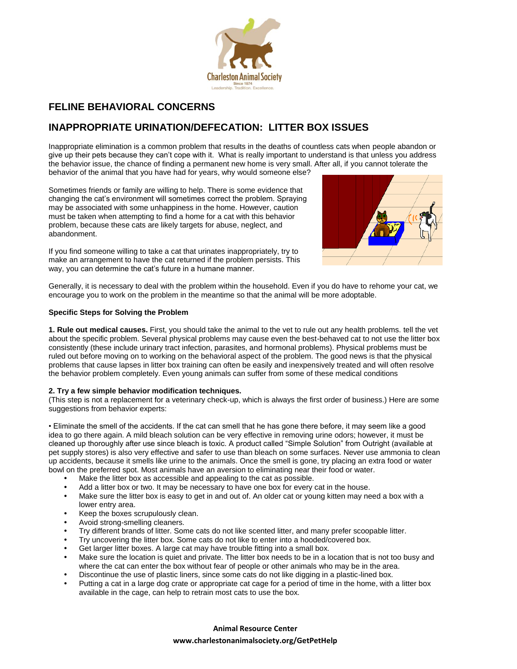

## **FELINE BEHAVIORAL CONCERNS**

# **INAPPROPRIATE URINATION/DEFECATION: LITTER BOX ISSUES**

Inappropriate elimination is a common problem that results in the deaths of countless cats when people abandon or give up their pets because they can't cope with it. What is really important to understand is that unless you address the behavior issue, the chance of finding a permanent new home is very small. After all, if you cannot tolerate the behavior of the animal that you have had for years, why would someone else?

Sometimes friends or family are willing to help. There is some evidence that changing the cat's environment will sometimes correct the problem. Spraying may be associated with some unhappiness in the home. However, caution must be taken when attempting to find a home for a cat with this behavior problem, because these cats are likely targets for abuse, neglect, and abandonment.

If you find someone willing to take a cat that urinates inappropriately, try to make an arrangement to have the cat returned if the problem persists. This way, you can determine the cat's future in a humane manner.



Generally, it is necessary to deal with the problem within the household. Even if you do have to rehome your cat, we encourage you to work on the problem in the meantime so that the animal will be more adoptable.

## **Specific Steps for Solving the Problem**

**1. Rule out medical causes.** First, you should take the animal to the vet to rule out any health problems. tell the vet about the specific problem. Several physical problems may cause even the best-behaved cat to not use the litter box consistently (these include urinary tract infection, parasites, and hormonal problems). Physical problems must be ruled out before moving on to working on the behavioral aspect of the problem. The good news is that the physical problems that cause lapses in litter box training can often be easily and inexpensively treated and will often resolve the behavior problem completely. Even young animals can suffer from some of these medical conditions

## **2. Try a few simple behavior modification techniques.**

(This step is not a replacement for a veterinary check-up, which is always the first order of business.) Here are some suggestions from behavior experts:

• Eliminate the smell of the accidents. If the cat can smell that he has gone there before, it may seem like a good idea to go there again. A mild bleach solution can be very effective in removing urine odors; however, it must be cleaned up thoroughly after use since bleach is toxic. A product called "Simple Solution" from Outright (available at pet supply stores) is also very effective and safer to use than bleach on some surfaces. Never use ammonia to clean up accidents, because it smells like urine to the animals. Once the smell is gone, try placing an extra food or water bowl on the preferred spot. Most animals have an aversion to eliminating near their food or water.

- Make the litter box as accessible and appealing to the cat as possible.
- Add a litter box or two. It may be necessary to have one box for every cat in the house.
- Make sure the litter box is easy to get in and out of. An older cat or young kitten may need a box with a lower entry area.
- Keep the boxes scrupulously clean.
- Avoid strong-smelling cleaners.
- Try different brands of litter. Some cats do not like scented litter, and many prefer scoopable litter.
- Try uncovering the litter box. Some cats do not like to enter into a hooded/covered box.
- Get larger litter boxes. A large cat may have trouble fitting into a small box.
- Make sure the location is quiet and private. The litter box needs to be in a location that is not too busy and where the cat can enter the box without fear of people or other animals who may be in the area.
- Discontinue the use of plastic liners, since some cats do not like digging in a plastic-lined box.
- Putting a cat in a large dog crate or appropriate cat cage for a period of time in the home, with a litter box available in the cage, can help to retrain most cats to use the box.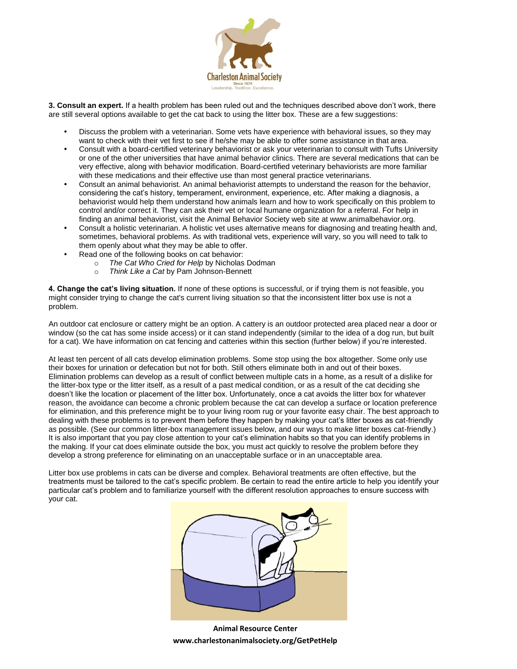

**3. Consult an expert.** If a health problem has been ruled out and the techniques described above don't work, there are still several options available to get the cat back to using the litter box. These are a few suggestions:

- Discuss the problem with a veterinarian. Some vets have experience with behavioral issues, so they may want to check with their vet first to see if he/she may be able to offer some assistance in that area.
- Consult with a board-certified veterinary behaviorist or ask your veterinarian to consult with Tufts University or one of the other universities that have animal behavior clinics. There are several medications that can be very effective, along with behavior modification. Board-certified veterinary behaviorists are more familiar with these medications and their effective use than most general practice veterinarians.
- Consult an animal behaviorist. An animal behaviorist attempts to understand the reason for the behavior, considering the cat's history, temperament, environment, experience, etc. After making a diagnosis, a behaviorist would help them understand how animals learn and how to work specifically on this problem to control and/or correct it. They can ask their vet or local humane organization for a referral. For help in finding an animal behaviorist, visit the Animal Behavior Society web site at www.animalbehavior.org.
- Consult a holistic veterinarian. A holistic vet uses alternative means for diagnosing and treating health and, sometimes, behavioral problems. As with traditional vets, experience will vary, so you will need to talk to them openly about what they may be able to offer.
- Read one of the following books on cat behavior:
	- o *The Cat Who Cried for Help* by Nicholas Dodman
	- o *Think Like a Cat* by Pam Johnson-Bennett

**4. Change the cat's living situation.** If none of these options is successful, or if trying them is not feasible, you might consider trying to change the cat's current living situation so that the inconsistent litter box use is not a problem.

An outdoor cat enclosure or cattery might be an option. A cattery is an outdoor protected area placed near a door or window (so the cat has some inside access) or it can stand independently (similar to the idea of a dog run, but built for a cat). We have information on cat fencing and catteries within this section (further below) if you're interested.

At least ten percent of all cats develop elimination problems. Some stop using the box altogether. Some only use their boxes for urination or defecation but not for both. Still others eliminate both in and out of their boxes. Elimination problems can develop as a result of conflict between multiple cats in a home, as a result of a dislike for the litter-box type or the litter itself, as a result of a past medical condition, or as a result of the cat deciding she doesn't like the location or placement of the litter box. Unfortunately, once a cat avoids the litter box for whatever reason, the avoidance can become a chronic problem because the cat can develop a surface or location preference for elimination, and this preference might be to your living room rug or your favorite easy chair. The best approach to dealing with these problems is to prevent them before they happen by making your cat's litter boxes as cat-friendly as possible. (See our common litter-box management issues below, and our ways to make litter boxes cat-friendly.) It is also important that you pay close attention to your cat's elimination habits so that you can identify problems in the making. If your cat does eliminate outside the box, you must act quickly to resolve the problem before they develop a strong preference for eliminating on an unacceptable surface or in an unacceptable area.

Litter box use problems in cats can be diverse and complex. Behavioral treatments are often effective, but the treatments must be tailored to the cat's specific problem. Be certain to read the entire article to help you identify your particular cat's problem and to familiarize yourself with the different resolution approaches to ensure success with your cat.



**Animal Resource Center www.charlestonanimalsociety.org/GetPetHelp**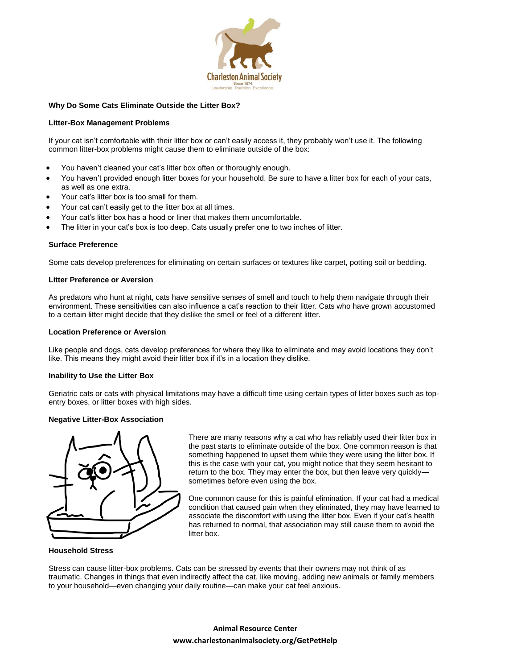

#### **Why Do Some Cats Eliminate Outside the Litter Box?**

#### **Litter-Box Management Problems**

If your cat isn't comfortable with their litter box or can't easily access it, they probably won't use it. The following common litter-box problems might cause them to eliminate outside of the box:

- You haven't cleaned your cat's litter box often or thoroughly enough.
- You haven't provided enough litter boxes for your household. Be sure to have a litter box for each of your cats, as well as one extra.
- Your cat's litter box is too small for them.
- Your cat can't easily get to the litter box at all times.
- Your cat's litter box has a hood or liner that makes them uncomfortable.
- The litter in your cat's box is too deep. Cats usually prefer one to two inches of litter.

#### **Surface Preference**

Some cats develop preferences for eliminating on certain surfaces or textures like carpet, potting soil or bedding.

#### **Litter Preference or Aversion**

As predators who hunt at night, cats have sensitive senses of smell and touch to help them navigate through their environment. These sensitivities can also influence a cat's reaction to their litter. Cats who have grown accustomed to a certain litter might decide that they dislike the smell or feel of a different litter.

#### **Location Preference or Aversion**

Like people and dogs, cats develop preferences for where they like to eliminate and may avoid locations they don't like. This means they might avoid their litter box if it's in a location they dislike.

#### **Inability to Use the Litter Box**

Geriatric cats or cats with physical limitations may have a difficult time using certain types of litter boxes such as topentry boxes, or litter boxes with high sides.

#### **Negative Litter-Box Association**



There are many reasons why a cat who has reliably used their litter box in the past starts to eliminate outside of the box. One common reason is that something happened to upset them while they were using the litter box. If this is the case with your cat, you might notice that they seem hesitant to return to the box. They may enter the box, but then leave very quickly sometimes before even using the box.

One common cause for this is painful elimination. If your cat had a medical condition that caused pain when they eliminated, they may have learned to associate the discomfort with using the litter box. Even if your cat's health has returned to normal, that association may still cause them to avoid the litter box.

#### **Household Stress**

Stress can cause litter-box problems. Cats can be stressed by events that their owners may not think of as traumatic. Changes in things that even indirectly affect the cat, like moving, adding new animals or family members to your household—even changing your daily routine—can make your cat feel anxious.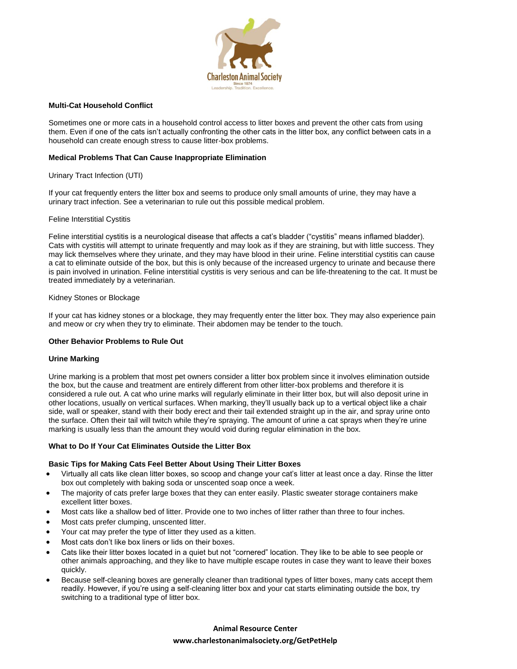

#### **Multi-Cat Household Conflict**

Sometimes one or more cats in a household control access to litter boxes and prevent the other cats from using them. Even if one of the cats isn't actually confronting the other cats in the litter box, any conflict between cats in a household can create enough stress to cause litter-box problems.

#### **Medical Problems That Can Cause Inappropriate Elimination**

#### Urinary Tract Infection (UTI)

If your cat frequently enters the litter box and seems to produce only small amounts of urine, they may have a urinary tract infection. See a veterinarian to rule out this possible medical problem.

#### Feline Interstitial Cystitis

Feline interstitial cystitis is a neurological disease that affects a cat's bladder ("cystitis" means inflamed bladder). Cats with cystitis will attempt to urinate frequently and may look as if they are straining, but with little success. They may lick themselves where they urinate, and they may have blood in their urine. Feline interstitial cystitis can cause a cat to eliminate outside of the box, but this is only because of the increased urgency to urinate and because there is pain involved in urination. Feline interstitial cystitis is very serious and can be life-threatening to the cat. It must be treated immediately by a veterinarian.

#### Kidney Stones or Blockage

If your cat has kidney stones or a blockage, they may frequently enter the litter box. They may also experience pain and meow or cry when they try to eliminate. Their abdomen may be tender to the touch.

## **Other Behavior Problems to Rule Out**

#### **Urine Marking**

Urine marking is a problem that most pet owners consider a litter box problem since it involves elimination outside the box, but the cause and treatment are entirely different from other litter-box problems and therefore it is considered a rule out. A cat who urine marks will regularly eliminate in their litter box, but will also deposit urine in other locations, usually on vertical surfaces. When marking, they'll usually back up to a vertical object like a chair side, wall or speaker, stand with their body erect and their tail extended straight up in the air, and spray urine onto the surface. Often their tail will twitch while they're spraying. The amount of urine a cat sprays when they're urine marking is usually less than the amount they would void during regular elimination in the box.

#### **What to Do If Your Cat Eliminates Outside the Litter Box**

## **Basic Tips for Making Cats Feel Better About Using Their Litter Boxes**

- Virtually all cats like clean litter boxes, so scoop and change your cat's litter at least once a day. Rinse the litter box out completely with baking soda or unscented soap once a week.
- The majority of cats prefer large boxes that they can enter easily. Plastic sweater storage containers make excellent litter boxes.
- Most cats like a shallow bed of litter. Provide one to two inches of litter rather than three to four inches.
- Most cats prefer clumping, unscented litter.
- Your cat may prefer the type of litter they used as a kitten.
- Most cats don't like box liners or lids on their boxes.
- Cats like their litter boxes located in a quiet but not "cornered" location. They like to be able to see people or other animals approaching, and they like to have multiple escape routes in case they want to leave their boxes quickly.
- Because self-cleaning boxes are generally cleaner than traditional types of litter boxes, many cats accept them readily. However, if you're using a self-cleaning litter box and your cat starts eliminating outside the box, try switching to a traditional type of litter box.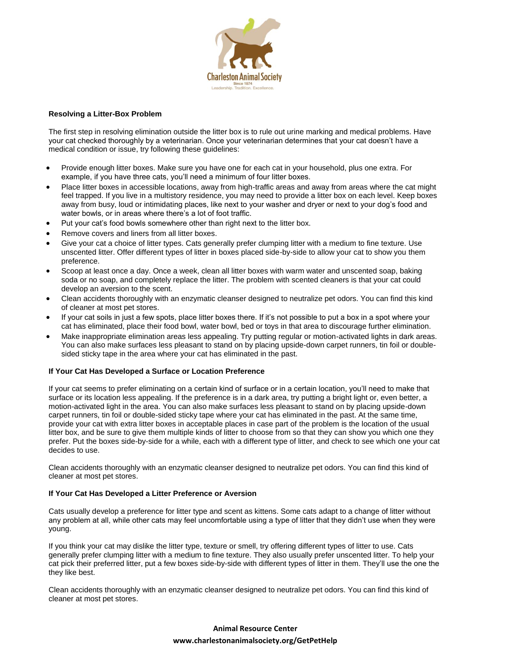

## **Resolving a Litter-Box Problem**

The first step in resolving elimination outside the litter box is to rule out urine marking and medical problems. Have your cat checked thoroughly by a veterinarian. Once your veterinarian determines that your cat doesn't have a medical condition or issue, try following these guidelines:

- Provide enough litter boxes. Make sure you have one for each cat in your household, plus one extra. For example, if you have three cats, you'll need a minimum of four litter boxes.
- Place litter boxes in accessible locations, away from high-traffic areas and away from areas where the cat might feel trapped. If you live in a multistory residence, you may need to provide a litter box on each level. Keep boxes away from busy, loud or intimidating places, like next to your washer and dryer or next to your dog's food and water bowls, or in areas where there's a lot of foot traffic.
- Put your cat's food bowls somewhere other than right next to the litter box.
- Remove covers and liners from all litter boxes.
- Give your cat a choice of litter types. Cats generally prefer clumping litter with a medium to fine texture. Use unscented litter. Offer different types of litter in boxes placed side-by-side to allow your cat to show you them preference.
- Scoop at least once a day. Once a week, clean all litter boxes with warm water and unscented soap, baking soda or no soap, and completely replace the litter. The problem with scented cleaners is that your cat could develop an aversion to the scent.
- Clean accidents thoroughly with an enzymatic cleanser designed to neutralize pet odors. You can find this kind of cleaner at most pet stores.
- If your cat soils in just a few spots, place litter boxes there. If it's not possible to put a box in a spot where your cat has eliminated, place their food bowl, water bowl, bed or toys in that area to discourage further elimination.
- Make inappropriate elimination areas less appealing. Try putting regular or motion-activated lights in dark areas. You can also make surfaces less pleasant to stand on by placing upside-down carpet runners, tin foil or doublesided sticky tape in the area where your cat has eliminated in the past.

## **If Your Cat Has Developed a Surface or Location Preference**

If your cat seems to prefer eliminating on a certain kind of surface or in a certain location, you'll need to make that surface or its location less appealing. If the preference is in a dark area, try putting a bright light or, even better, a motion-activated light in the area. You can also make surfaces less pleasant to stand on by placing upside-down carpet runners, tin foil or double-sided sticky tape where your cat has eliminated in the past. At the same time, provide your cat with extra litter boxes in acceptable places in case part of the problem is the location of the usual litter box, and be sure to give them multiple kinds of litter to choose from so that they can show you which one they prefer. Put the boxes side-by-side for a while, each with a different type of litter, and check to see which one your cat decides to use.

Clean accidents thoroughly with an enzymatic cleanser designed to neutralize pet odors. You can find this kind of cleaner at most pet stores.

## **If Your Cat Has Developed a Litter Preference or Aversion**

Cats usually develop a preference for litter type and scent as kittens. Some cats adapt to a change of litter without any problem at all, while other cats may feel uncomfortable using a type of litter that they didn't use when they were young.

If you think your cat may dislike the litter type, texture or smell, try offering different types of litter to use. Cats generally prefer clumping litter with a medium to fine texture. They also usually prefer unscented litter. To help your cat pick their preferred litter, put a few boxes side-by-side with different types of litter in them. They'll use the one the they like best.

Clean accidents thoroughly with an enzymatic cleanser designed to neutralize pet odors. You can find this kind of cleaner at most pet stores.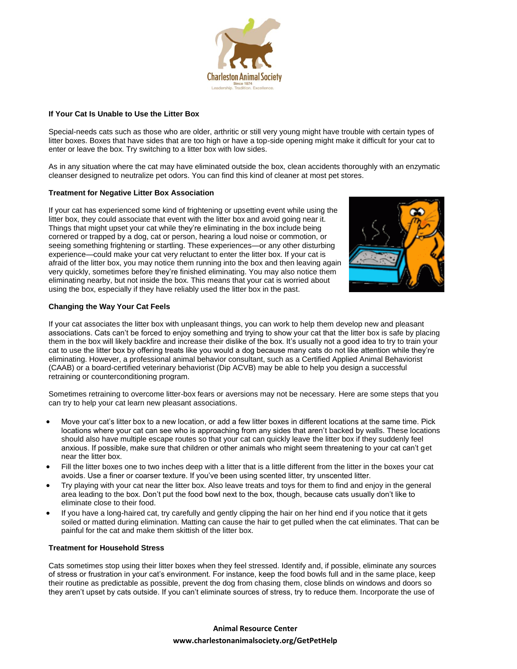

## **If Your Cat Is Unable to Use the Litter Box**

Special-needs cats such as those who are older, arthritic or still very young might have trouble with certain types of litter boxes. Boxes that have sides that are too high or have a top-side opening might make it difficult for your cat to enter or leave the box. Try switching to a litter box with low sides.

As in any situation where the cat may have eliminated outside the box, clean accidents thoroughly with an enzymatic cleanser designed to neutralize pet odors. You can find this kind of cleaner at most pet stores.

## **Treatment for Negative Litter Box Association**

If your cat has experienced some kind of frightening or upsetting event while using the litter box, they could associate that event with the litter box and avoid going near it. Things that might upset your cat while they're eliminating in the box include being cornered or trapped by a dog, cat or person, hearing a loud noise or commotion, or seeing something frightening or startling. These experiences—or any other disturbing experience—could make your cat very reluctant to enter the litter box. If your cat is afraid of the litter box, you may notice them running into the box and then leaving again very quickly, sometimes before they're finished eliminating. You may also notice them eliminating nearby, but not inside the box. This means that your cat is worried about using the box, especially if they have reliably used the litter box in the past.



## **Changing the Way Your Cat Feels**

If your cat associates the litter box with unpleasant things, you can work to help them develop new and pleasant associations. Cats can't be forced to enjoy something and trying to show your cat that the litter box is safe by placing them in the box will likely backfire and increase their dislike of the box. It's usually not a good idea to try to train your cat to use the litter box by offering treats like you would a dog because many cats do not like attention while they're eliminating. However, a professional animal behavior consultant, such as a Certified Applied Animal Behaviorist (CAAB) or a board-certified veterinary behaviorist (Dip ACVB) may be able to help you design a successful retraining or counterconditioning program.

Sometimes retraining to overcome litter-box fears or aversions may not be necessary. Here are some steps that you can try to help your cat learn new pleasant associations.

- Move your cat's litter box to a new location, or add a few litter boxes in different locations at the same time. Pick locations where your cat can see who is approaching from any sides that aren't backed by walls. These locations should also have multiple escape routes so that your cat can quickly leave the litter box if they suddenly feel anxious. If possible, make sure that children or other animals who might seem threatening to your cat can't get near the litter box.
- Fill the litter boxes one to two inches deep with a litter that is a little different from the litter in the boxes your cat avoids. Use a finer or coarser texture. If you've been using scented litter, try unscented litter.
- Try playing with your cat near the litter box. Also leave treats and toys for them to find and enjoy in the general area leading to the box. Don't put the food bowl next to the box, though, because cats usually don't like to eliminate close to their food.
- If you have a long-haired cat, try carefully and gently clipping the hair on her hind end if you notice that it gets soiled or matted during elimination. Matting can cause the hair to get pulled when the cat eliminates. That can be painful for the cat and make them skittish of the litter box.

#### **Treatment for Household Stress**

Cats sometimes stop using their litter boxes when they feel stressed. Identify and, if possible, eliminate any sources of stress or frustration in your cat's environment. For instance, keep the food bowls full and in the same place, keep their routine as predictable as possible, prevent the dog from chasing them, close blinds on windows and doors so they aren't upset by cats outside. If you can't eliminate sources of stress, try to reduce them. Incorporate the use of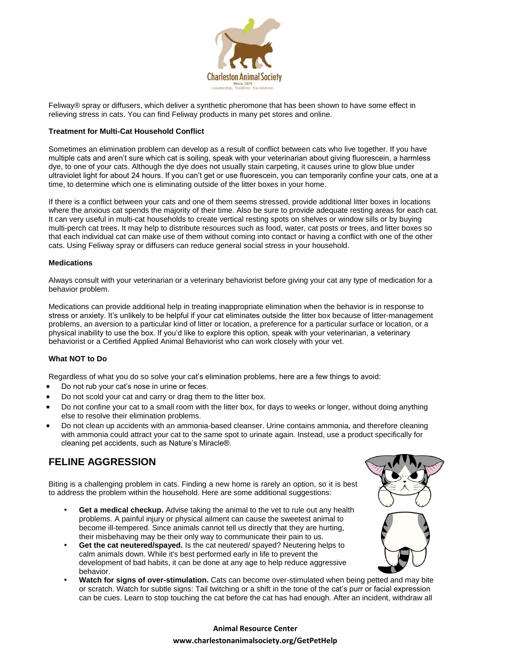

Feliway® spray or diffusers, which deliver a synthetic pheromone that has been shown to have some effect in relieving stress in cats. You can find Feliway products in many pet stores and online.

#### **Treatment for Multi-Cat Household Conflict**

Sometimes an elimination problem can develop as a result of conflict between cats who live together. If you have multiple cats and aren't sure which cat is soiling, speak with your veterinarian about giving fluorescein, a harmless dye, to one of your cats. Although the dye does not usually stain carpeting, it causes urine to glow blue under ultraviolet light for about 24 hours. If you can't get or use fluorescein, you can temporarily confine your cats, one at a time, to determine which one is eliminating outside of the litter boxes in your home.

If there is a conflict between your cats and one of them seems stressed, provide additional litter boxes in locations where the anxious cat spends the majority of their time. Also be sure to provide adequate resting areas for each cat. It can very useful in multi-cat households to create vertical resting spots on shelves or window sills or by buying multi-perch cat trees. It may help to distribute resources such as food, water, cat posts or trees, and litter boxes so that each individual cat can make use of them without coming into contact or having a conflict with one of the other cats. Using Feliway spray or diffusers can reduce general social stress in your household.

#### **Medications**

Always consult with your veterinarian or a veterinary behaviorist before giving your cat any type of medication for a behavior problem.

Medications can provide additional help in treating inappropriate elimination when the behavior is in response to stress or anxiety. It's unlikely to be helpful if your cat eliminates outside the litter box because of litter-management problems, an aversion to a particular kind of litter or location, a preference for a particular surface or location, or a physical inability to use the box. If you'd like to explore this option, speak with your veterinarian, a veterinary behaviorist or a Certified Applied Animal Behaviorist who can work closely with your vet.

#### **What NOT to Do**

Regardless of what you do so solve your cat's elimination problems, here are a few things to avoid:

- Do not rub your cat's nose in urine or feces.
- Do not scold your cat and carry or drag them to the litter box.
- Do not confine your cat to a small room with the litter box, for days to weeks or longer, without doing anything else to resolve their elimination problems.
- Do not clean up accidents with an ammonia-based cleanser. Urine contains ammonia, and therefore cleaning with ammonia could attract your cat to the same spot to urinate again. Instead, use a product specifically for cleaning pet accidents, such as Nature's Miracle®.

## **FELINE AGGRESSION**

Biting is a challenging problem in cats. Finding a new home is rarely an option, so it is best to address the problem within the household. Here are some additional suggestions:

- **Get a medical checkup.** Advise taking the animal to the vet to rule out any health problems. A painful injury or physical ailment can cause the sweetest animal to become ill-tempered. Since animals cannot tell us directly that they are hurting, their misbehaving may be their only way to communicate their pain to us.
- **Get the cat neutered/spayed.** Is the cat neutered/ spayed? Neutering helps to calm animals down. While it's best performed early in life to prevent the development of bad habits, it can be done at any age to help reduce aggressive behavior.
- **Watch for signs of over-stimulation.** Cats can become over-stimulated when being petted and may bite or scratch. Watch for subtle signs: Tail twitching or a shift in the tone of the cat's purr or facial expression can be cues. Learn to stop touching the cat before the cat has had enough. After an incident, withdraw all

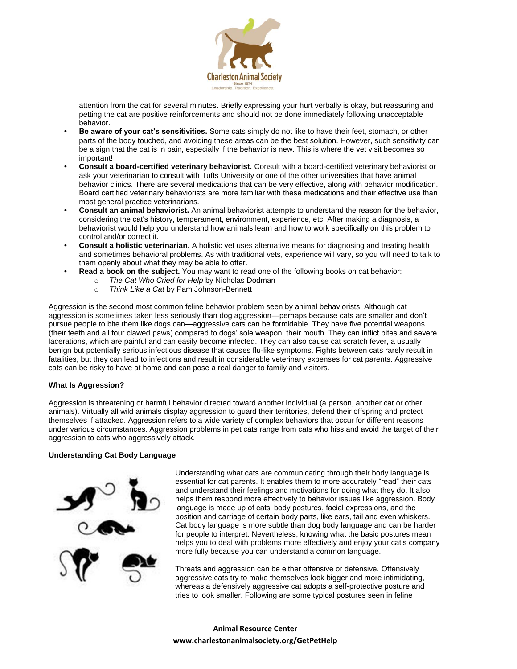

attention from the cat for several minutes. Briefly expressing your hurt verbally is okay, but reassuring and petting the cat are positive reinforcements and should not be done immediately following unacceptable behavior.

- **Be aware of your cat's sensitivities.** Some cats simply do not like to have their feet, stomach, or other parts of the body touched, and avoiding these areas can be the best solution. However, such sensitivity can be a sign that the cat is in pain, especially if the behavior is new. This is where the vet visit becomes so important!
- **Consult a board-certified veterinary behaviorist.** Consult with a board-certified veterinary behaviorist or ask your veterinarian to consult with Tufts University or one of the other universities that have animal behavior clinics. There are several medications that can be very effective, along with behavior modification. Board certified veterinary behaviorists are more familiar with these medications and their effective use than most general practice veterinarians.
- **Consult an animal behaviorist.** An animal behaviorist attempts to understand the reason for the behavior, considering the cat's history, temperament, environment, experience, etc. After making a diagnosis, a behaviorist would help you understand how animals learn and how to work specifically on this problem to control and/or correct it.
- **Consult a holistic veterinarian.** A holistic vet uses alternative means for diagnosing and treating health and sometimes behavioral problems. As with traditional vets, experience will vary, so you will need to talk to them openly about what they may be able to offer.
- **Read a book on the subject.** You may want to read one of the following books on cat behavior:
	- o *The Cat Who Cried for Help* by Nicholas Dodman
	- o *Think Like a Cat* by Pam Johnson-Bennett

Aggression is the second most common feline behavior problem seen by animal behaviorists. Although cat aggression is sometimes taken less seriously than dog aggression—perhaps because cats are smaller and don't pursue people to bite them like dogs can—aggressive cats can be formidable. They have five potential weapons (their teeth and all four clawed paws) compared to dogs' sole weapon: their mouth. They can inflict bites and severe lacerations, which are painful and can easily become infected. They can also cause cat scratch fever, a usually benign but potentially serious infectious disease that causes flu-like symptoms. Fights between cats rarely result in fatalities, but they can lead to infections and result in considerable veterinary expenses for cat parents. Aggressive cats can be risky to have at home and can pose a real danger to family and visitors.

## **What Is Aggression?**

Aggression is threatening or harmful behavior directed toward another individual (a person, another cat or other animals). Virtually all wild animals display aggression to guard their territories, defend their offspring and protect themselves if attacked. Aggression refers to a wide variety of complex behaviors that occur for different reasons under various circumstances. Aggression problems in pet cats range from cats who hiss and avoid the target of their aggression to cats who aggressively attack.

## **Understanding Cat Body Language**



Understanding what cats are communicating through their body language is essential for cat parents. It enables them to more accurately "read" their cats and understand their feelings and motivations for doing what they do. It also helps them respond more effectively to behavior issues like aggression. Body language is made up of cats' body postures, facial expressions, and the position and carriage of certain body parts, like ears, tail and even whiskers. Cat body language is more subtle than dog body language and can be harder for people to interpret. Nevertheless, knowing what the basic postures mean helps you to deal with problems more effectively and enjoy your cat's company more fully because you can understand a common language.

Threats and aggression can be either offensive or defensive. Offensively aggressive cats try to make themselves look bigger and more intimidating, whereas a defensively aggressive cat adopts a self-protective posture and tries to look smaller. Following are some typical postures seen in feline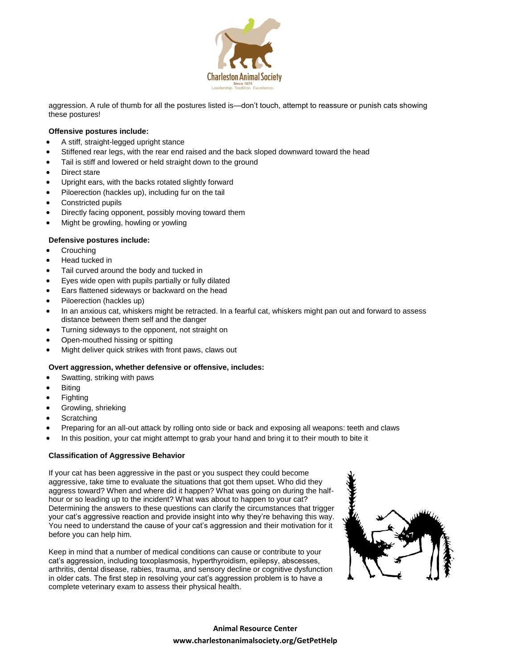

aggression. A rule of thumb for all the postures listed is—don't touch, attempt to reassure or punish cats showing these postures!

## **Offensive postures include:**

- A stiff, straight-legged upright stance
- Stiffened rear legs, with the rear end raised and the back sloped downward toward the head
- Tail is stiff and lowered or held straight down to the ground
- Direct stare
- Upright ears, with the backs rotated slightly forward
- Piloerection (hackles up), including fur on the tail
- Constricted pupils
- Directly facing opponent, possibly moving toward them
- Might be growling, howling or yowling

## **Defensive postures include:**

- Crouching
- Head tucked in
- Tail curved around the body and tucked in
- Eyes wide open with pupils partially or fully dilated
- Ears flattened sideways or backward on the head
- Piloerection (hackles up)
- In an anxious cat, whiskers might be retracted. In a fearful cat, whiskers might pan out and forward to assess distance between them self and the danger
- Turning sideways to the opponent, not straight on
- Open-mouthed hissing or spitting
- Might deliver quick strikes with front paws, claws out

## **Overt aggression, whether defensive or offensive, includes:**

- Swatting, striking with paws
- Biting
- Fighting
- Growling, shrieking
- **Scratching**
- Preparing for an all-out attack by rolling onto side or back and exposing all weapons: teeth and claws
- In this position, your cat might attempt to grab your hand and bring it to their mouth to bite it

## **Classification of Aggressive Behavior**

If your cat has been aggressive in the past or you suspect they could become aggressive, take time to evaluate the situations that got them upset. Who did they aggress toward? When and where did it happen? What was going on during the halfhour or so leading up to the incident? What was about to happen to your cat? Determining the answers to these questions can clarify the circumstances that trigger your cat's aggressive reaction and provide insight into why they're behaving this way. You need to understand the cause of your cat's aggression and their motivation for it before you can help him.

Keep in mind that a number of medical conditions can cause or contribute to your cat's aggression, including toxoplasmosis, hyperthyroidism, epilepsy, abscesses, arthritis, dental disease, rabies, trauma, and sensory decline or cognitive dysfunction in older cats. The first step in resolving your cat's aggression problem is to have a complete veterinary exam to assess their physical health.

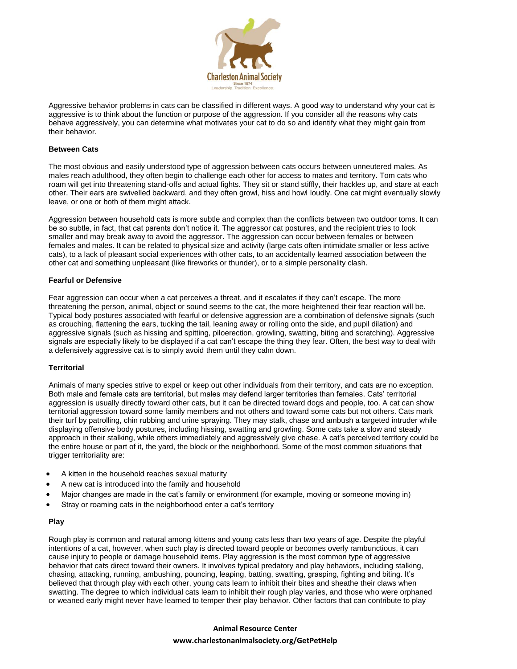

Aggressive behavior problems in cats can be classified in different ways. A good way to understand why your cat is aggressive is to think about the function or purpose of the aggression. If you consider all the reasons why cats behave aggressively, you can determine what motivates your cat to do so and identify what they might gain from their behavior.

#### **Between Cats**

The most obvious and easily understood type of aggression between cats occurs between unneutered males. As males reach adulthood, they often begin to challenge each other for access to mates and territory. Tom cats who roam will get into threatening stand-offs and actual fights. They sit or stand stiffly, their hackles up, and stare at each other. Their ears are swivelled backward, and they often growl, hiss and howl loudly. One cat might eventually slowly leave, or one or both of them might attack.

Aggression between household cats is more subtle and complex than the conflicts between two outdoor toms. It can be so subtle, in fact, that cat parents don't notice it. The aggressor cat postures, and the recipient tries to look smaller and may break away to avoid the aggressor. The aggression can occur between females or between females and males. It can be related to physical size and activity (large cats often intimidate smaller or less active cats), to a lack of pleasant social experiences with other cats, to an accidentally learned association between the other cat and something unpleasant (like fireworks or thunder), or to a simple personality clash.

#### **Fearful or Defensive**

Fear aggression can occur when a cat perceives a threat, and it escalates if they can't escape. The more threatening the person, animal, object or sound seems to the cat, the more heightened their fear reaction will be. Typical body postures associated with fearful or defensive aggression are a combination of defensive signals (such as crouching, flattening the ears, tucking the tail, leaning away or rolling onto the side, and pupil dilation) and aggressive signals (such as hissing and spitting, piloerection, growling, swatting, biting and scratching). Aggressive signals are especially likely to be displayed if a cat can't escape the thing they fear. Often, the best way to deal with a defensively aggressive cat is to simply avoid them until they calm down.

## **Territorial**

Animals of many species strive to expel or keep out other individuals from their territory, and cats are no exception. Both male and female cats are territorial, but males may defend larger territories than females. Cats' territorial aggression is usually directly toward other cats, but it can be directed toward dogs and people, too. A cat can show territorial aggression toward some family members and not others and toward some cats but not others. Cats mark their turf by patrolling, chin rubbing and urine spraying. They may stalk, chase and ambush a targeted intruder while displaying offensive body postures, including hissing, swatting and growling. Some cats take a slow and steady approach in their stalking, while others immediately and aggressively give chase. A cat's perceived territory could be the entire house or part of it, the yard, the block or the neighborhood. Some of the most common situations that trigger territoriality are:

- A kitten in the household reaches sexual maturity
- A new cat is introduced into the family and household
- Major changes are made in the cat's family or environment (for example, moving or someone moving in)
- Stray or roaming cats in the neighborhood enter a cat's territory

#### **Play**

Rough play is common and natural among kittens and young cats less than two years of age. Despite the playful intentions of a cat, however, when such play is directed toward people or becomes overly rambunctious, it can cause injury to people or damage household items. Play aggression is the most common type of aggressive behavior that cats direct toward their owners. It involves typical predatory and play behaviors, including stalking, chasing, attacking, running, ambushing, pouncing, leaping, batting, swatting, grasping, fighting and biting. It's believed that through play with each other, young cats learn to inhibit their bites and sheathe their claws when swatting. The degree to which individual cats learn to inhibit their rough play varies, and those who were orphaned or weaned early might never have learned to temper their play behavior. Other factors that can contribute to play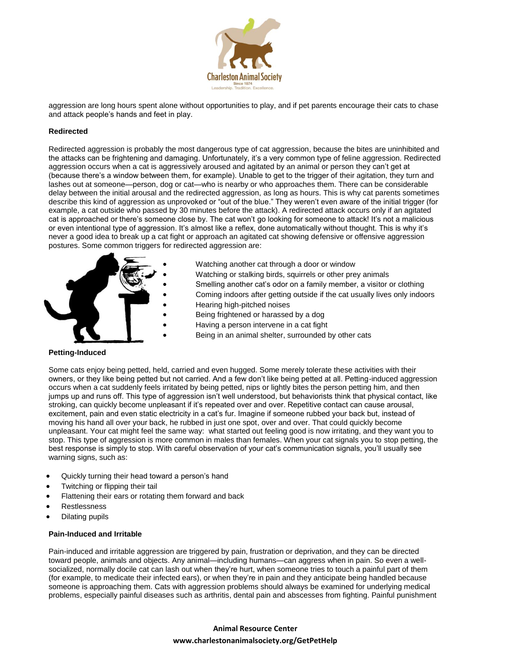

aggression are long hours spent alone without opportunities to play, and if pet parents encourage their cats to chase and attack people's hands and feet in play.

## **Redirected**

Redirected aggression is probably the most dangerous type of cat aggression, because the bites are uninhibited and the attacks can be frightening and damaging. Unfortunately, it's a very common type of feline aggression. Redirected aggression occurs when a cat is aggressively aroused and agitated by an animal or person they can't get at (because there's a window between them, for example). Unable to get to the trigger of their agitation, they turn and lashes out at someone—person, dog or cat—who is nearby or who approaches them. There can be considerable delay between the initial arousal and the redirected aggression, as long as hours. This is why cat parents sometimes describe this kind of aggression as unprovoked or "out of the blue." They weren't even aware of the initial trigger (for example, a cat outside who passed by 30 minutes before the attack). A redirected attack occurs only if an agitated cat is approached or there's someone close by. The cat won't go looking for someone to attack! It's not a malicious or even intentional type of aggression. It's almost like a reflex, done automatically without thought. This is why it's never a good idea to break up a cat fight or approach an agitated cat showing defensive or offensive aggression postures. Some common triggers for redirected aggression are:



- Watching another cat through a door or window
- Watching or stalking birds, squirrels or other prey animals
- Smelling another cat's odor on a family member, a visitor or clothing
- Coming indoors after getting outside if the cat usually lives only indoors Hearing high-pitched noises
- Being frightened or harassed by a dog
- Having a person intervene in a cat fight
- 
- Being in an animal shelter, surrounded by other cats

## **Petting-Induced**

Some cats enjoy being petted, held, carried and even hugged. Some merely tolerate these activities with their owners, or they like being petted but not carried. And a few don't like being petted at all. Petting-induced aggression occurs when a cat suddenly feels irritated by being petted, nips or lightly bites the person petting him, and then jumps up and runs off. This type of aggression isn't well understood, but behaviorists think that physical contact, like stroking, can quickly become unpleasant if it's repeated over and over. Repetitive contact can cause arousal, excitement, pain and even static electricity in a cat's fur. Imagine if someone rubbed your back but, instead of moving his hand all over your back, he rubbed in just one spot, over and over. That could quickly become unpleasant. Your cat might feel the same way: what started out feeling good is now irritating, and they want you to stop. This type of aggression is more common in males than females. When your cat signals you to stop petting, the best response is simply to stop. With careful observation of your cat's communication signals, you'll usually see warning signs, such as:

- Quickly turning their head toward a person's hand
- Twitching or flipping their tail
- Flattening their ears or rotating them forward and back
- **Restlessness**
- Dilating pupils

#### **Pain-Induced and Irritable**

Pain-induced and irritable aggression are triggered by pain, frustration or deprivation, and they can be directed toward people, animals and objects. Any animal—including humans—can aggress when in pain. So even a wellsocialized, normally docile cat can lash out when they're hurt, when someone tries to touch a painful part of them (for example, to medicate their infected ears), or when they're in pain and they anticipate being handled because someone is approaching them. Cats with aggression problems should always be examined for underlying medical problems, especially painful diseases such as arthritis, dental pain and abscesses from fighting. Painful punishment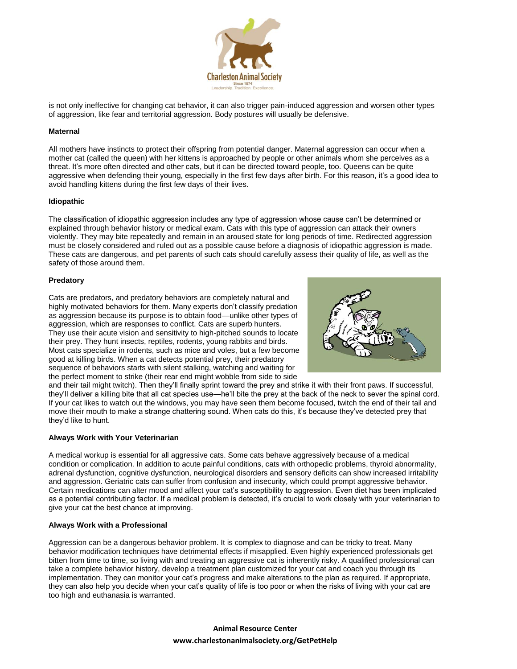

is not only ineffective for changing cat behavior, it can also trigger pain-induced aggression and worsen other types of aggression, like fear and territorial aggression. Body postures will usually be defensive.

#### **Maternal**

All mothers have instincts to protect their offspring from potential danger. Maternal aggression can occur when a mother cat (called the queen) with her kittens is approached by people or other animals whom she perceives as a threat. It's more often directed and other cats, but it can be directed toward people, too. Queens can be quite aggressive when defending their young, especially in the first few days after birth. For this reason, it's a good idea to avoid handling kittens during the first few days of their lives.

#### **Idiopathic**

The classification of idiopathic aggression includes any type of aggression whose cause can't be determined or explained through behavior history or medical exam. Cats with this type of aggression can attack their owners violently. They may bite repeatedly and remain in an aroused state for long periods of time. Redirected aggression must be closely considered and ruled out as a possible cause before a diagnosis of idiopathic aggression is made. These cats are dangerous, and pet parents of such cats should carefully assess their quality of life, as well as the safety of those around them.

#### **Predatory**

Cats are predators, and predatory behaviors are completely natural and highly motivated behaviors for them. Many experts don't classify predation as aggression because its purpose is to obtain food—unlike other types of aggression, which are responses to conflict. Cats are superb hunters. They use their acute vision and sensitivity to high-pitched sounds to locate their prey. They hunt insects, reptiles, rodents, young rabbits and birds. Most cats specialize in rodents, such as mice and voles, but a few become good at killing birds. When a cat detects potential prey, their predatory sequence of behaviors starts with silent stalking, watching and waiting for the perfect moment to strike (their rear end might wobble from side to side



and their tail might twitch). Then they'll finally sprint toward the prey and strike it with their front paws. If successful, they'll deliver a killing bite that all cat species use—he'll bite the prey at the back of the neck to sever the spinal cord. If your cat likes to watch out the windows, you may have seen them become focused, twitch the end of their tail and move their mouth to make a strange chattering sound. When cats do this, it's because they've detected prey that they'd like to hunt.

## **Always Work with Your Veterinarian**

A medical workup is essential for all aggressive cats. Some cats behave aggressively because of a medical condition or complication. In addition to acute painful conditions, cats with orthopedic problems, thyroid abnormality, adrenal dysfunction, cognitive dysfunction, neurological disorders and sensory deficits can show increased irritability and aggression. Geriatric cats can suffer from confusion and insecurity, which could prompt aggressive behavior. Certain medications can alter mood and affect your cat's susceptibility to aggression. Even diet has been implicated as a potential contributing factor. If a medical problem is detected, it's crucial to work closely with your veterinarian to give your cat the best chance at improving.

## **Always Work with a Professional**

Aggression can be a dangerous behavior problem. It is complex to diagnose and can be tricky to treat. Many behavior modification techniques have detrimental effects if misapplied. Even highly experienced professionals get bitten from time to time, so living with and treating an aggressive cat is inherently risky. A qualified professional can take a complete behavior history, develop a treatment plan customized for your cat and coach you through its implementation. They can monitor your cat's progress and make alterations to the plan as required. If appropriate, they can also help you decide when your cat's quality of life is too poor or when the risks of living with your cat are too high and euthanasia is warranted.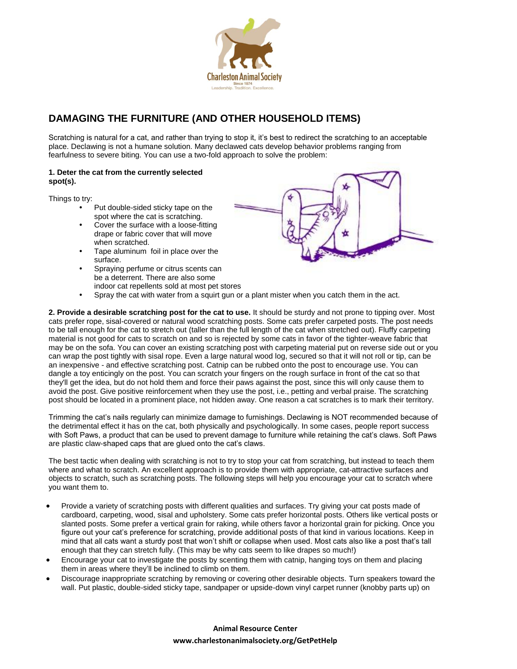

# **DAMAGING THE FURNITURE (AND OTHER HOUSEHOLD ITEMS)**

Scratching is natural for a cat, and rather than trying to stop it, it's best to redirect the scratching to an acceptable place. Declawing is not a humane solution. Many declawed cats develop behavior problems ranging from fearfulness to severe biting. You can use a two-fold approach to solve the problem:

## **1. Deter the cat from the currently selected spot(s).**

Things to try:

- Put double-sided sticky tape on the spot where the cat is scratching.
- Cover the surface with a loose-fitting drape or fabric cover that will move when scratched.
- Tape aluminum foil in place over the surface.
- Spraying perfume or citrus scents can be a deterrent. There are also some indoor cat repellents sold at most pet stores



Spray the cat with water from a squirt gun or a plant mister when you catch them in the act.

**2. Provide a desirable scratching post for the cat to use.** It should be sturdy and not prone to tipping over. Most cats prefer rope, sisal-covered or natural wood scratching posts. Some cats prefer carpeted posts. The post needs to be tall enough for the cat to stretch out (taller than the full length of the cat when stretched out). Fluffy carpeting material is not good for cats to scratch on and so is rejected by some cats in favor of the tighter-weave fabric that may be on the sofa. You can cover an existing scratching post with carpeting material put on reverse side out or you can wrap the post tightly with sisal rope. Even a large natural wood log, secured so that it will not roll or tip, can be an inexpensive - and effective scratching post. Catnip can be rubbed onto the post to encourage use. You can dangle a toy enticingly on the post. You can scratch your fingers on the rough surface in front of the cat so that they'll get the idea, but do not hold them and force their paws against the post, since this will only cause them to avoid the post. Give positive reinforcement when they use the post, i.e., petting and verbal praise. The scratching post should be located in a prominent place, not hidden away. One reason a cat scratches is to mark their territory.

Trimming the cat's nails regularly can minimize damage to furnishings. Declawing is NOT recommended because of the detrimental effect it has on the cat, both physically and psychologically. In some cases, people report success with Soft Paws, a product that can be used to prevent damage to furniture while retaining the cat's claws. Soft Paws are plastic claw-shaped caps that are glued onto the cat's claws.

The best tactic when dealing with scratching is not to try to stop your cat from scratching, but instead to teach them where and what to scratch. An excellent approach is to provide them with appropriate, cat-attractive surfaces and objects to scratch, such as scratching posts. The following steps will help you encourage your cat to scratch where you want them to.

- Provide a variety of scratching posts with different qualities and surfaces. Try giving your cat posts made of cardboard, carpeting, wood, sisal and upholstery. Some cats prefer horizontal posts. Others like vertical posts or slanted posts. Some prefer a vertical grain for raking, while others favor a horizontal grain for picking. Once you figure out your cat's preference for scratching, provide additional posts of that kind in various locations. Keep in mind that all cats want a sturdy post that won't shift or collapse when used. Most cats also like a post that's tall enough that they can stretch fully. (This may be why cats seem to like drapes so much!)
- Encourage your cat to investigate the posts by scenting them with catnip, hanging toys on them and placing them in areas where they'll be inclined to climb on them.
- Discourage inappropriate scratching by removing or covering other desirable objects. Turn speakers toward the wall. Put plastic, double-sided sticky tape, sandpaper or upside-down vinyl carpet runner (knobby parts up) on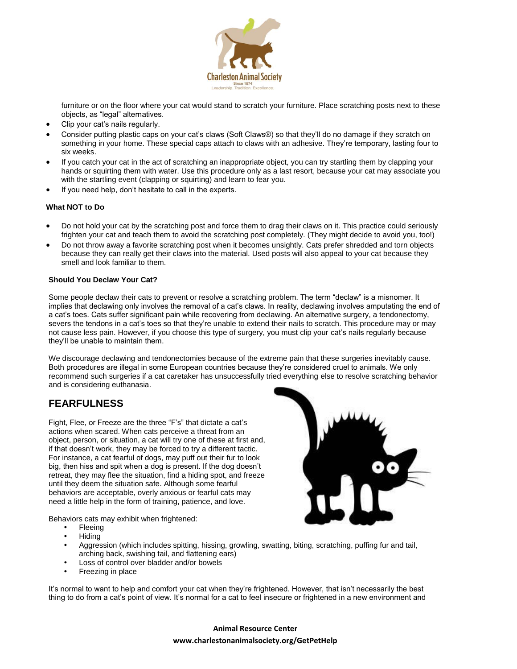

furniture or on the floor where your cat would stand to scratch your furniture. Place scratching posts next to these objects, as "legal" alternatives.

- Clip your cat's nails regularly.
- Consider putting plastic caps on your cat's claws (Soft Claws®) so that they'll do no damage if they scratch on something in your home. These special caps attach to claws with an adhesive. They're temporary, lasting four to six weeks.
- If you catch your cat in the act of scratching an inappropriate object, you can try startling them by clapping your hands or squirting them with water. Use this procedure only as a last resort, because your cat may associate you with the startling event (clapping or squirting) and learn to fear you.
- If you need help, don't hesitate to call in the experts.

## **What NOT to Do**

- Do not hold your cat by the scratching post and force them to drag their claws on it. This practice could seriously frighten your cat and teach them to avoid the scratching post completely. (They might decide to avoid you, too!)
- Do not throw away a favorite scratching post when it becomes unsightly. Cats prefer shredded and torn objects because they can really get their claws into the material. Used posts will also appeal to your cat because they smell and look familiar to them.

## **Should You Declaw Your Cat?**

Some people declaw their cats to prevent or resolve a scratching problem. The term "declaw" is a misnomer. It implies that declawing only involves the removal of a cat's claws. In reality, declawing involves amputating the end of a cat's toes. Cats suffer significant pain while recovering from declawing. An alternative surgery, a tendonectomy, severs the tendons in a cat's toes so that they're unable to extend their nails to scratch. This procedure may or may not cause less pain. However, if you choose this type of surgery, you must clip your cat's nails regularly because they'll be unable to maintain them.

We discourage declawing and tendonectomies because of the extreme pain that these surgeries inevitably cause. Both procedures are illegal in some European countries because they're considered cruel to animals. We only recommend such surgeries if a cat caretaker has unsuccessfully tried everything else to resolve scratching behavior and is considering euthanasia.

## **FEARFULNESS**

Fight, Flee, or Freeze are the three "F's" that dictate a cat's actions when scared. When cats perceive a threat from an object, person, or situation, a cat will try one of these at first and, if that doesn't work, they may be forced to try a different tactic. For instance, a cat fearful of dogs, may puff out their fur to look big, then hiss and spit when a dog is present. If the dog doesn't retreat, they may flee the situation, find a hiding spot, and freeze until they deem the situation safe. Although some fearful behaviors are acceptable, overly anxious or fearful cats may need a little help in the form of training, patience, and love.



Behaviors cats may exhibit when frightened:

- Fleeing
- Hiding
- Aggression (which includes spitting, hissing, growling, swatting, biting, scratching, puffing fur and tail, arching back, swishing tail, and flattening ears)
- Loss of control over bladder and/or bowels
- Freezing in place

It's normal to want to help and comfort your cat when they're frightened. However, that isn't necessarily the best thing to do from a cat's point of view. It's normal for a cat to feel insecure or frightened in a new environment and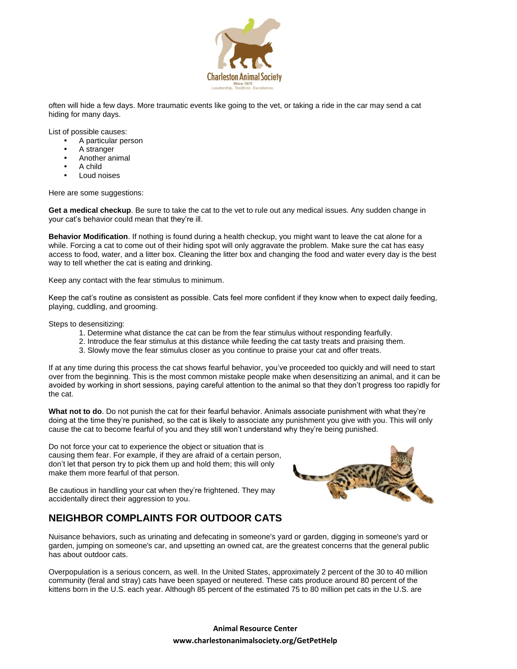

often will hide a few days. More traumatic events like going to the vet, or taking a ride in the car may send a cat hiding for many days.

List of possible causes:

- A particular person
- A stranger
- Another animal
- A child
- Loud noises

Here are some suggestions:

**Get a medical checkup**. Be sure to take the cat to the vet to rule out any medical issues. Any sudden change in your cat's behavior could mean that they're ill.

**Behavior Modification**. If nothing is found during a health checkup, you might want to leave the cat alone for a while. Forcing a cat to come out of their hiding spot will only aggravate the problem. Make sure the cat has easy access to food, water, and a litter box. Cleaning the litter box and changing the food and water every day is the best way to tell whether the cat is eating and drinking.

Keep any contact with the fear stimulus to minimum.

Keep the cat's routine as consistent as possible. Cats feel more confident if they know when to expect daily feeding, playing, cuddling, and grooming.

Steps to desensitizing:

- 1. Determine what distance the cat can be from the fear stimulus without responding fearfully.
- 2. Introduce the fear stimulus at this distance while feeding the cat tasty treats and praising them.
- 3. Slowly move the fear stimulus closer as you continue to praise your cat and offer treats.

If at any time during this process the cat shows fearful behavior, you've proceeded too quickly and will need to start over from the beginning. This is the most common mistake people make when desensitizing an animal, and it can be avoided by working in short sessions, paying careful attention to the animal so that they don't progress too rapidly for the cat.

**What not to do**. Do not punish the cat for their fearful behavior. Animals associate punishment with what they're doing at the time they're punished, so the cat is likely to associate any punishment you give with you. This will only cause the cat to become fearful of you and they still won't understand why they're being punished.

Do not force your cat to experience the object or situation that is causing them fear. For example, if they are afraid of a certain person, don't let that person try to pick them up and hold them; this will only make them more fearful of that person.

Be cautious in handling your cat when they're frightened. They may accidentally direct their aggression to you.

# **NEIGHBOR COMPLAINTS FOR OUTDOOR CATS**



Nuisance behaviors, such as urinating and defecating in someone's yard or garden, digging in someone's yard or garden, jumping on someone's car, and upsetting an owned cat, are the greatest concerns that the general public has about outdoor cats.

Overpopulation is a serious concern, as well. In the United States, approximately 2 percent of the 30 to 40 million community (feral and stray) cats have been spayed or neutered. These cats produce around 80 percent of the kittens born in the U.S. each year. Although 85 percent of the estimated 75 to 80 million pet cats in the U.S. are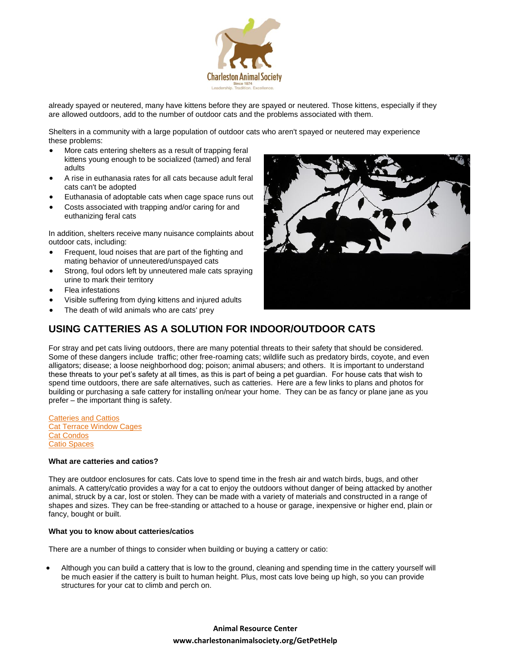

already spayed or neutered, many have kittens before they are spayed or neutered. Those kittens, especially if they are allowed outdoors, add to the number of outdoor cats and the problems associated with them.

Shelters in a community with a large population of outdoor cats who aren't spayed or neutered may experience these problems:

- More cats entering shelters as a result of trapping feral kittens young enough to be socialized (tamed) and feral adults
- A rise in euthanasia rates for all cats because adult feral cats can't be adopted
- Euthanasia of adoptable cats when cage space runs out
- Costs associated with trapping and/or caring for and euthanizing feral cats

In addition, shelters receive many nuisance complaints about outdoor cats, including:

- Frequent, loud noises that are part of the fighting and mating behavior of unneutered/unspayed cats
- Strong, foul odors left by unneutered male cats spraying urine to mark their territory
- Flea infestations
- Visible suffering from dying kittens and injured adults
- The death of wild animals who are cats' prey



## **USING CATTERIES AS A SOLUTION FOR INDOOR/OUTDOOR CATS**

For stray and pet cats living outdoors, there are many potential threats to their safety that should be considered. Some of these dangers include traffic; other free-roaming cats; wildlife such as predatory birds, coyote, and even alligators; disease; a loose neighborhood dog; poison; animal abusers; and others. It is important to understand these threats to your pet's safety at all times, as this is part of being a pet guardian. For house cats that wish to spend time outdoors, there are safe alternatives, such as catteries. Here are a few links to plans and photos for building or purchasing a safe cattery for installing on/near your home. They can be as fancy or plane jane as you prefer – the important thing is safety.

**[Catteries and Cattios](http://bestfriends.org/uploadedFiles/Content/Resources/cattery1.pdf)** [Cat Terrace Window Cages](http://www.catterrace.com/html/photos.htm) **[Cat Condos](http://www.mypetcages.com/group.asp?grp=6)** [Catio Spaces](http://www.catiospaces.com/)

#### **What are catteries and catios?**

They are outdoor enclosures for cats. Cats love to spend time in the fresh air and watch birds, bugs, and other animals. A cattery/catio provides a way for a cat to enjoy the outdoors without danger of being attacked by another animal, struck by a car, lost or stolen. They can be made with a variety of materials and constructed in a range of shapes and sizes. They can be free-standing or attached to a house or garage, inexpensive or higher end, plain or fancy, bought or built.

#### **What you to know about catteries/catios**

There are a number of things to consider when building or buying a cattery or catio:

 Although you can build a cattery that is low to the ground, cleaning and spending time in the cattery yourself will be much easier if the cattery is built to human height. Plus, most cats love being up high, so you can provide structures for your cat to climb and perch on.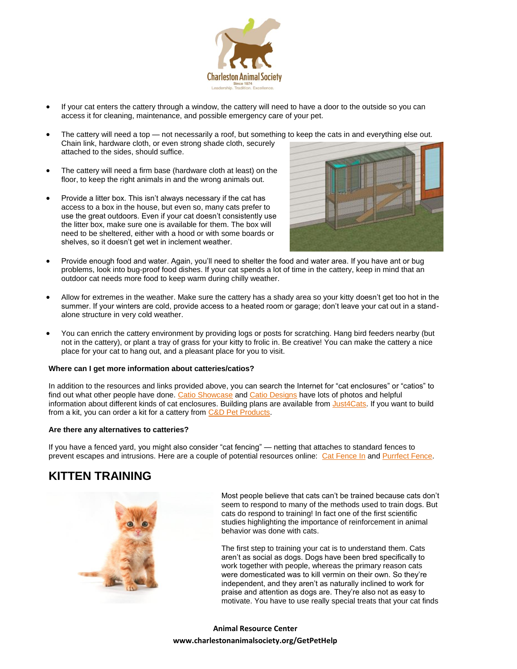

- If your cat enters the cattery through a window, the cattery will need to have a door to the outside so you can access it for cleaning, maintenance, and possible emergency care of your pet.
- The cattery will need a top not necessarily a roof, but something to keep the cats in and everything else out. Chain link, hardware cloth, or even strong shade cloth, securely attached to the sides, should suffice.
- The cattery will need a firm base (hardware cloth at least) on the floor, to keep the right animals in and the wrong animals out.
- Provide a litter box. This isn't always necessary if the cat has access to a box in the house, but even so, many cats prefer to use the great outdoors. Even if your cat doesn't consistently use the litter box, make sure one is available for them. The box will need to be sheltered, either with a hood or with some boards or shelves, so it doesn't get wet in inclement weather.



- Provide enough food and water. Again, you'll need to shelter the food and water area. If you have ant or bug problems, look into bug-proof food dishes. If your cat spends a lot of time in the cattery, keep in mind that an outdoor cat needs more food to keep warm during chilly weather.
- Allow for extremes in the weather. Make sure the cattery has a shady area so your kitty doesn't get too hot in the summer. If your winters are cold, provide access to a heated room or garage; don't leave your cat out in a standalone structure in very cold weather.
- You can enrich the cattery environment by providing logs or posts for scratching. Hang bird feeders nearby (but not in the cattery), or plant a tray of grass for your kitty to frolic in. Be creative! You can make the cattery a nice place for your cat to hang out, and a pleasant place for you to visit.

#### **Where can I get more information about catteries/catios?**

In addition to the resources and links provided above, you can search the Internet for "cat enclosures" or "catios" to find out what other people have done[. Catio Showcase](file://///server/Company/ANIMAL%20RESOURCE%20CENTER%20-%20former%20HELP%20DESK/Resources/catioshowcase.com) and [Catio Designs](http://www.catiodesigns.com/) have lots of photos and helpful information about different kinds of cat enclosures. Building plans are available from [Just4Cats.](http://www.just4cats.com/) If you want to build from a kit, you can order a kit for a cattery fro[m C&D Pet Products.](http://www.cdpets.com/)

#### **Are there any alternatives to catteries?**

If you have a fenced yard, you might also consider "cat fencing" — netting that attaches to standard fences to prevent escapes and intrusions. Here are a couple of potential resources online: [Cat Fence In](http://www.catfencein.com/) and [Purrfect Fence.](http://www.purrfectfence.com/)

# **KITTEN TRAINING**



Most people believe that cats can't be trained because cats don't seem to respond to many of the methods used to train dogs. But cats do respond to training! In fact one of the first scientific studies highlighting the importance of reinforcement in animal behavior was done with cats.

The first step to training your cat is to understand them. Cats aren't as social as dogs. Dogs have been bred specifically to work together with people, whereas the primary reason cats were domesticated was to kill vermin on their own. So they're independent, and they aren't as naturally inclined to work for praise and attention as dogs are. They're also not as easy to motivate. You have to use really special treats that your cat finds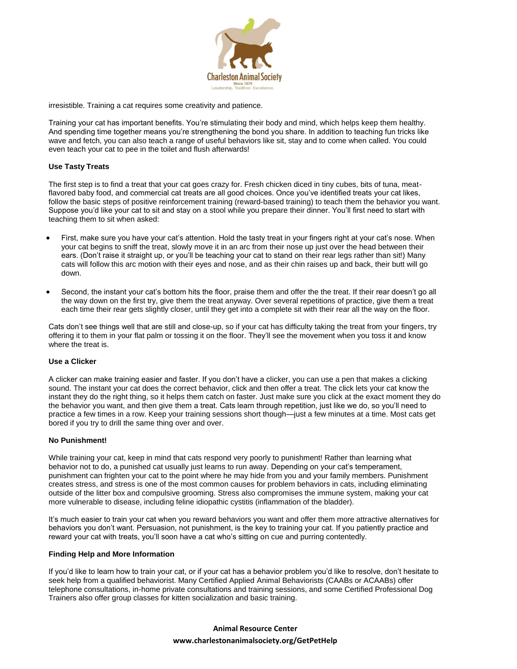

irresistible. Training a cat requires some creativity and patience.

Training your cat has important benefits. You're stimulating their body and mind, which helps keep them healthy. And spending time together means you're strengthening the bond you share. In addition to teaching fun tricks like wave and fetch, you can also teach a range of useful behaviors like sit, stay and to come when called. You could even teach your cat to pee in the toilet and flush afterwards!

## **Use Tasty Treats**

The first step is to find a treat that your cat goes crazy for. Fresh chicken diced in tiny cubes, bits of tuna, meatflavored baby food, and commercial cat treats are all good choices. Once you've identified treats your cat likes, follow the basic steps of positive reinforcement training (reward-based training) to teach them the behavior you want. Suppose you'd like your cat to sit and stay on a stool while you prepare their dinner. You'll first need to start with teaching them to sit when asked:

- First, make sure you have your cat's attention. Hold the tasty treat in your fingers right at your cat's nose. When your cat begins to sniff the treat, slowly move it in an arc from their nose up just over the head between their ears. (Don't raise it straight up, or you'll be teaching your cat to stand on their rear legs rather than sit!) Many cats will follow this arc motion with their eyes and nose, and as their chin raises up and back, their butt will go down.
- Second, the instant your cat's bottom hits the floor, praise them and offer the the treat. If their rear doesn't go all the way down on the first try, give them the treat anyway. Over several repetitions of practice, give them a treat each time their rear gets slightly closer, until they get into a complete sit with their rear all the way on the floor.

Cats don't see things well that are still and close-up, so if your cat has difficulty taking the treat from your fingers, try offering it to them in your flat palm or tossing it on the floor. They'll see the movement when you toss it and know where the treat is.

## **Use a Clicker**

A clicker can make training easier and faster. If you don't have a clicker, you can use a pen that makes a clicking sound. The instant your cat does the correct behavior, click and then offer a treat. The click lets your cat know the instant they do the right thing, so it helps them catch on faster. Just make sure you click at the exact moment they do the behavior you want, and then give them a treat. Cats learn through repetition, just like we do, so you'll need to practice a few times in a row. Keep your training sessions short though—just a few minutes at a time. Most cats get bored if you try to drill the same thing over and over.

## **No Punishment!**

While training your cat, keep in mind that cats respond very poorly to punishment! Rather than learning what behavior not to do, a punished cat usually just learns to run away. Depending on your cat's temperament, punishment can frighten your cat to the point where he may hide from you and your family members. Punishment creates stress, and stress is one of the most common causes for problem behaviors in cats, including eliminating outside of the litter box and compulsive grooming. Stress also compromises the immune system, making your cat more vulnerable to disease, including feline idiopathic cystitis (inflammation of the bladder).

It's much easier to train your cat when you reward behaviors you want and offer them more attractive alternatives for behaviors you don't want. Persuasion, not punishment, is the key to training your cat. If you patiently practice and reward your cat with treats, you'll soon have a cat who's sitting on cue and purring contentedly.

#### **Finding Help and More Information**

If you'd like to learn how to train your cat, or if your cat has a behavior problem you'd like to resolve, don't hesitate to seek help from a qualified behaviorist. Many Certified Applied Animal Behaviorists (CAABs or ACAABs) offer telephone consultations, in-home private consultations and training sessions, and some Certified Professional Dog Trainers also offer group classes for kitten socialization and basic training.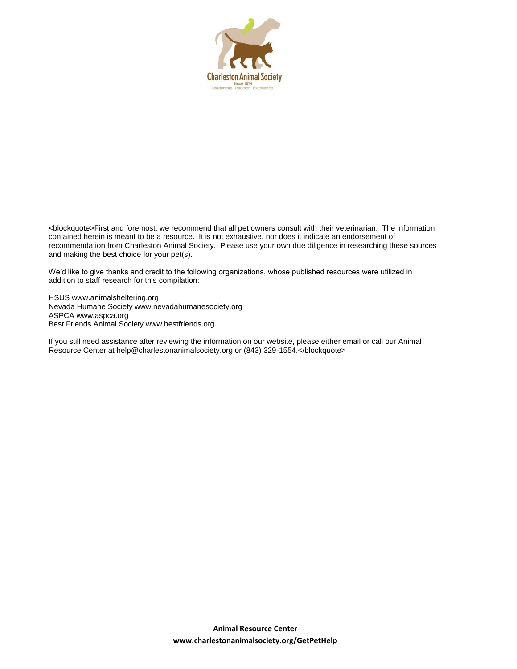

<blockquote>First and foremost, we recommend that all pet owners consult with their veterinarian. The information contained herein is meant to be a resource. It is not exhaustive, nor does it indicate an endorsement of recommendation from Charleston Animal Society. Please use your own due diligence in researching these sources and making the best choice for your pet(s).

We'd like to give thanks and credit to the following organizations, whose published resources were utilized in addition to staff research for this compilation:

HSUS www.animalsheltering.org Nevada Humane Society www.nevadahumanesociety.org ASPCA www.aspca.org Best Friends Animal Society www.bestfriends.org

If you still need assistance after reviewing the information on our website, please either email or call our Animal Resource Center at help@charlestonanimalsociety.org or (843) 329-1554.</blockquote>